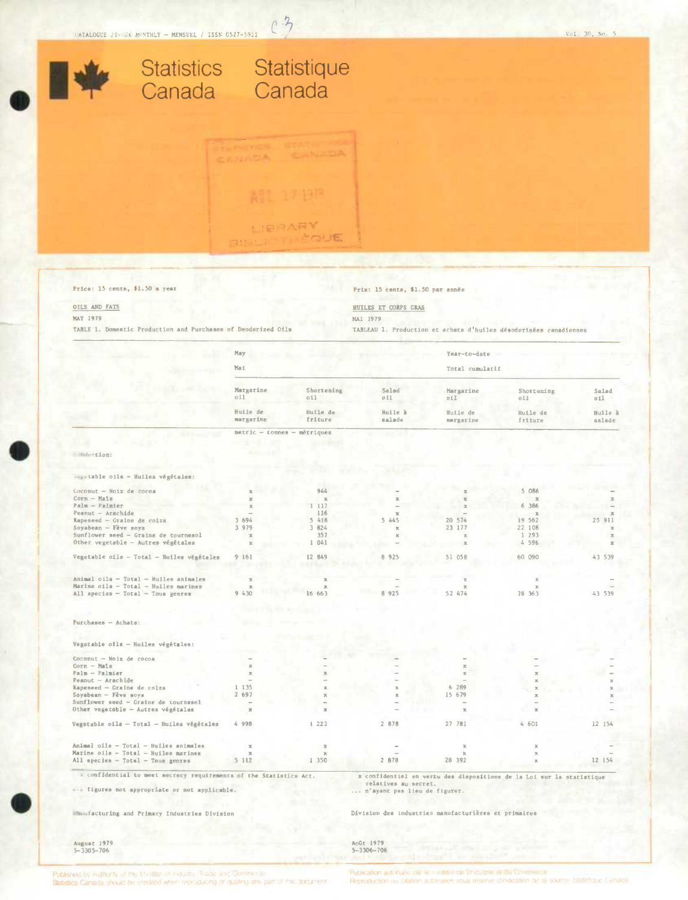

 $0.3$ 



Salad

Huile à

salade

 $\overline{\mathbf{x}}$ 

54

 $54$ 

 $011$ 



| Marine oils - Total - Huiles marines      |       |      |       |        |       |  |
|-------------------------------------------|-------|------|-------|--------|-------|--|
| Animal oils - Total - Huiles animales     |       |      |       |        |       |  |
| Vegetable oils - Total - Huiles végétales | 4 998 | 1223 | 2 878 | 27 781 | 4 601 |  |
| Other vegetable - Autres végétales        |       |      | $-10$ |        |       |  |
| Sunflower seed - Graine de tournesol      |       |      |       |        |       |  |
| Soyabean - Fève soya                      | 2 697 |      |       | 15 679 |       |  |
| Rapeseed - Graine de colza                | 1135  |      |       | 6 289  |       |  |
| $Pearut - Arachlde$                       |       |      |       |        |       |  |
| Palm - Palmier                            |       |      |       |        |       |  |
|                                           |       |      |       |        |       |  |

... figures not appropriate or not applicable.

Minufacturing and Primary Industries Division

relatives au secret. ... n'avant pas lieu de figurer.

Division des industries manufacturières et primaires

August 1979<br>5-3305-706

Août 1979<br>5-3306-706

Published by Authority of the Minister of Industry. Trade and sometime.de Statistics Canada should be credited when reproducing or quoting any part of this document Publication autoriser paid within the De Deguster of Da Contenting Reproduction ou citation autorisees sous réserve d'indication de la source. Statistique Canada